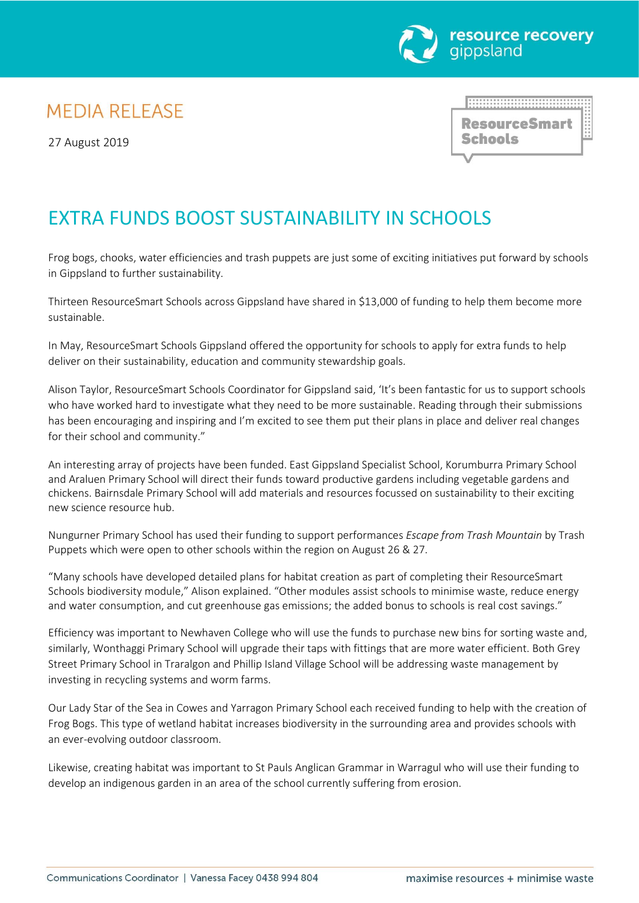

## **MEDIA RELEASE**

27 August 2019

**ResourceSmart Schools** 

<u> HANAHIRAHIRAHIRAHIRA</u>

## EXTRA FUNDS BOOST SUSTAINABILITY IN SCHOOLS

Frog bogs, chooks, water efficiencies and trash puppets are just some of exciting initiatives put forward by schools in Gippsland to further sustainability.

Thirteen ResourceSmart Schools across Gippsland have shared in \$13,000 of funding to help them become more sustainable.

In May, ResourceSmart Schools Gippsland offered the opportunity for schools to apply for extra funds to help deliver on their sustainability, education and community stewardship goals.

Alison Taylor, ResourceSmart Schools Coordinator for Gippsland said, 'It's been fantastic for us to support schools who have worked hard to investigate what they need to be more sustainable. Reading through their submissions has been encouraging and inspiring and I'm excited to see them put their plans in place and deliver real changes for their school and community."

An interesting array of projects have been funded. East Gippsland Specialist School, Korumburra Primary School and Araluen Primary School will direct their funds toward productive gardens including vegetable gardens and chickens. Bairnsdale Primary School will add materials and resources focussed on sustainability to their exciting new science resource hub.

Nungurner Primary School has used their funding to support performances *Escape from Trash Mountain* by Trash Puppets which were open to other schools within the region on August 26 & 27.

"Many schools have developed detailed plans for habitat creation as part of completing their ResourceSmart Schools biodiversity module," Alison explained. "Other modules assist schools to minimise waste, reduce energy and water consumption, and cut greenhouse gas emissions; the added bonus to schools is real cost savings."

Efficiency was important to Newhaven College who will use the funds to purchase new bins for sorting waste and, similarly, Wonthaggi Primary School will upgrade their taps with fittings that are more water efficient. Both Grey Street Primary School in Traralgon and Phillip Island Village School will be addressing waste management by investing in recycling systems and worm farms.

Our Lady Star of the Sea in Cowes and Yarragon Primary School each received funding to help with the creation of Frog Bogs. This type of wetland habitat increases biodiversity in the surrounding area and provides schools with an ever-evolving outdoor classroom.

Likewise, creating habitat was important to St Pauls Anglican Grammar in Warragul who will use their funding to develop an indigenous garden in an area of the school currently suffering from erosion.